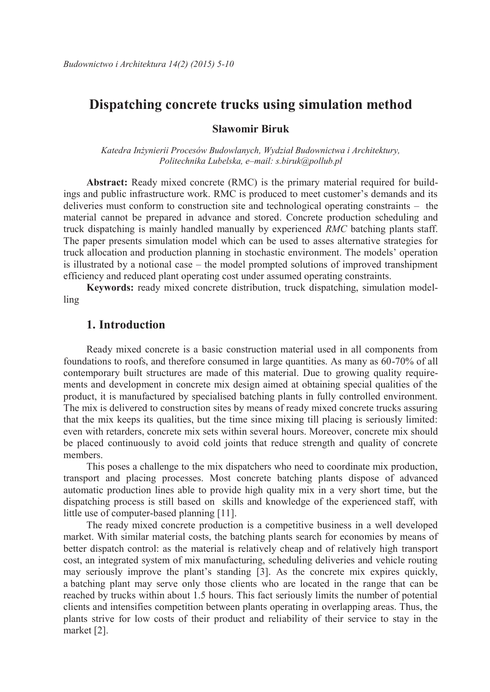# **Dispatching concrete trucks using simulation method**

#### **Sławomir Biruk**

*Katedra Inżynierii Procesów Budowlanych, Wydział Budownictwa i Architektury, Politechnika Lubelska, e–mail: s.biruk@pollub.pl*

**Abstract:** Ready mixed concrete (RMC) is the primary material required for buildings and public infrastructure work. RMC is produced to meet customer's demands and its deliveries must conform to construction site and technological operating constraints – the material cannot be prepared in advance and stored. Concrete production scheduling and truck dispatching is mainly handled manually by experienced *RMC* batching plants staff. The paper presents simulation model which can be used to asses alternative strategies for truck allocation and production planning in stochastic environment. The models' operation is illustrated by a notional case – the model prompted solutions of improved transhipment efficiency and reduced plant operating cost under assumed operating constraints.

**Keywords:** ready mixed concrete distribution, truck dispatching, simulation modelling

### **1. Introduction**

Ready mixed concrete is a basic construction material used in all components from foundations to roofs, and therefore consumed in large quantities. As many as 60-70% of all contemporary built structures are made of this material. Due to growing quality requirements and development in concrete mix design aimed at obtaining special qualities of the product, it is manufactured by specialised batching plants in fully controlled environment. The mix is delivered to construction sites by means of ready mixed concrete trucks assuring that the mix keeps its qualities, but the time since mixing till placing is seriously limited: even with retarders, concrete mix sets within several hours. Moreover, concrete mix should be placed continuously to avoid cold joints that reduce strength and quality of concrete members.

This poses a challenge to the mix dispatchers who need to coordinate mix production, transport and placing processes. Most concrete batching plants dispose of advanced automatic production lines able to provide high quality mix in a very short time, but the dispatching process is still based on skills and knowledge of the experienced staff, with little use of computer-based planning [11].

The ready mixed concrete production is a competitive business in a well developed market. With similar material costs, the batching plants search for economies by means of better dispatch control: as the material is relatively cheap and of relatively high transport cost, an integrated system of mix manufacturing, scheduling deliveries and vehicle routing may seriously improve the plant's standing [3]. As the concrete mix expires quickly, a batching plant may serve only those clients who are located in the range that can be reached by trucks within about 1.5 hours. This fact seriously limits the number of potential clients and intensifies competition between plants operating in overlapping areas. Thus, the plants strive for low costs of their product and reliability of their service to stay in the market [2].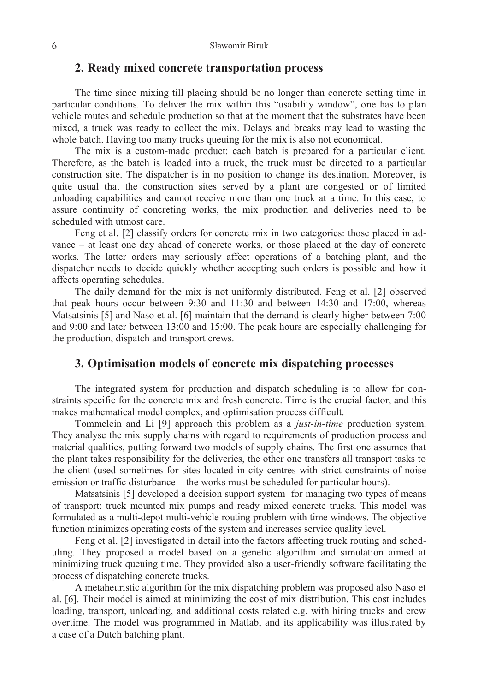# **2. Ready mixed concrete transportation process**

The time since mixing till placing should be no longer than concrete setting time in particular conditions. To deliver the mix within this "usability window", one has to plan vehicle routes and schedule production so that at the moment that the substrates have been mixed, a truck was ready to collect the mix. Delays and breaks may lead to wasting the whole batch. Having too many trucks queuing for the mix is also not economical.

The mix is a custom-made product: each batch is prepared for a particular client. Therefore, as the batch is loaded into a truck, the truck must be directed to a particular construction site. The dispatcher is in no position to change its destination. Moreover, is quite usual that the construction sites served by a plant are congested or of limited unloading capabilities and cannot receive more than one truck at a time. In this case, to assure continuity of concreting works, the mix production and deliveries need to be scheduled with utmost care.

Feng et al. [2] classify orders for concrete mix in two categories: those placed in advance – at least one day ahead of concrete works, or those placed at the day of concrete works. The latter orders may seriously affect operations of a batching plant, and the dispatcher needs to decide quickly whether accepting such orders is possible and how it affects operating schedules.

The daily demand for the mix is not uniformly distributed. Feng et al. [2] observed that peak hours occur between 9:30 and 11:30 and between 14:30 and 17:00, whereas Matsatsinis [5] and Naso et al. [6] maintain that the demand is clearly higher between 7:00 and 9:00 and later between 13:00 and 15:00. The peak hours are especially challenging for the production, dispatch and transport crews.

### **3. Optimisation models of concrete mix dispatching processes**

The integrated system for production and dispatch scheduling is to allow for constraints specific for the concrete mix and fresh concrete. Time is the crucial factor, and this makes mathematical model complex, and optimisation process difficult.

Tommelein and Li [9] approach this problem as a *just-in-time* production system. They analyse the mix supply chains with regard to requirements of production process and material qualities, putting forward two models of supply chains. The first one assumes that the plant takes responsibility for the deliveries, the other one transfers all transport tasks to the client (used sometimes for sites located in city centres with strict constraints of noise emission or traffic disturbance – the works must be scheduled for particular hours).

Matsatsinis [5] developed a decision support system for managing two types of means of transport: truck mounted mix pumps and ready mixed concrete trucks. This model was formulated as a multi-depot multi-vehicle routing problem with time windows. The objective function minimizes operating costs of the system and increases service quality level.

Feng et al. [2] investigated in detail into the factors affecting truck routing and scheduling. They proposed a model based on a genetic algorithm and simulation aimed at minimizing truck queuing time. They provided also a user-friendly software facilitating the process of dispatching concrete trucks.

A metaheuristic algorithm for the mix dispatching problem was proposed also Naso et al. [6]. Their model is aimed at minimizing the cost of mix distribution. This cost includes loading, transport, unloading, and additional costs related e.g. with hiring trucks and crew overtime. The model was programmed in Matlab, and its applicability was illustrated by a case of a Dutch batching plant.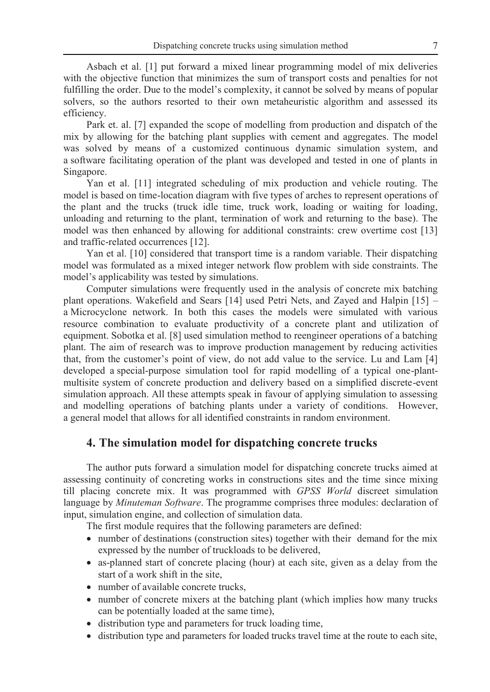Asbach et al. [1] put forward a mixed linear programming model of mix deliveries with the objective function that minimizes the sum of transport costs and penalties for not fulfilling the order. Due to the model's complexity, it cannot be solved by means of popular solvers, so the authors resorted to their own metaheuristic algorithm and assessed its efficiency.

Park et. al. [7] expanded the scope of modelling from production and dispatch of the mix by allowing for the batching plant supplies with cement and aggregates. The model was solved by means of a customized continuous dynamic simulation system, and a software facilitating operation of the plant was developed and tested in one of plants in Singapore.

Yan et al. [11] integrated scheduling of mix production and vehicle routing. The model is based on time-location diagram with five types of arches to represent operations of the plant and the trucks (truck idle time, truck work, loading or waiting for loading, unloading and returning to the plant, termination of work and returning to the base). The model was then enhanced by allowing for additional constraints: crew overtime cost [13] and traffic-related occurrences [12].

Yan et al. [10] considered that transport time is a random variable. Their dispatching model was formulated as a mixed integer network flow problem with side constraints. The model's applicability was tested by simulations.

Computer simulations were frequently used in the analysis of concrete mix batching plant operations. Wakefield and Sears [14] used Petri Nets, and Zayed and Halpin [15] – a Microcyclone network. In both this cases the models were simulated with various resource combination to evaluate productivity of a concrete plant and utilization of equipment. Sobotka et al. [8] used simulation method to reengineer operations of a batching plant. The aim of research was to improve production management by reducing activities that, from the customer's point of view, do not add value to the service. Lu and Lam [4] developed a special-purpose simulation tool for rapid modelling of a typical one-plantmultisite system of concrete production and delivery based on a simplified discrete-event simulation approach. All these attempts speak in favour of applying simulation to assessing and modelling operations of batching plants under a variety of conditions. However, a general model that allows for all identified constraints in random environment.

## **4. The simulation model for dispatching concrete trucks**

The author puts forward a simulation model for dispatching concrete trucks aimed at assessing continuity of concreting works in constructions sites and the time since mixing till placing concrete mix. It was programmed with *GPSS World* discreet simulation language by *Minuteman Software*. The programme comprises three modules: declaration of input, simulation engine, and collection of simulation data.

The first module requires that the following parameters are defined:

- number of destinations (construction sites) together with their demand for the mix expressed by the number of truckloads to be delivered,
- as-planned start of concrete placing (hour) at each site, given as a delay from the start of a work shift in the site,
- number of available concrete trucks.
- number of concrete mixers at the batching plant (which implies how many trucks can be potentially loaded at the same time),
- distribution type and parameters for truck loading time,
- distribution type and parameters for loaded trucks travel time at the route to each site,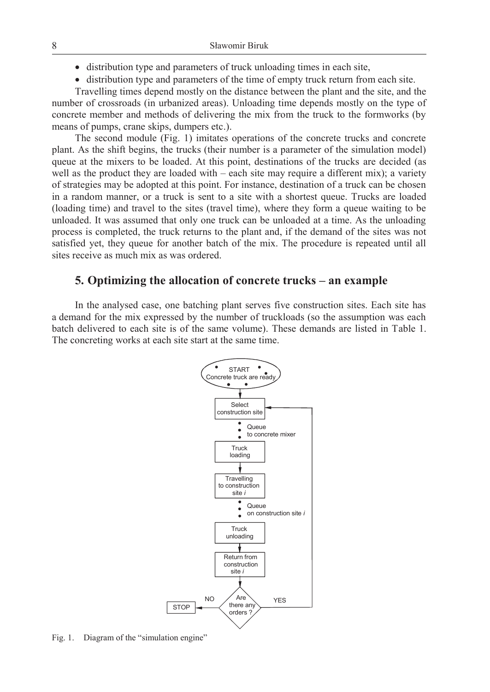- distribution type and parameters of truck unloading times in each site,
- distribution type and parameters of the time of empty truck return from each site.

Travelling times depend mostly on the distance between the plant and the site, and the number of crossroads (in urbanized areas). Unloading time depends mostly on the type of concrete member and methods of delivering the mix from the truck to the formworks (by means of pumps, crane skips, dumpers etc.).

The second module (Fig. 1) imitates operations of the concrete trucks and concrete plant. As the shift begins, the trucks (their number is a parameter of the simulation model) queue at the mixers to be loaded. At this point, destinations of the trucks are decided (as well as the product they are loaded with – each site may require a different mix); a variety of strategies may be adopted at this point. For instance, destination of a truck can be chosen in a random manner, or a truck is sent to a site with a shortest queue. Trucks are loaded (loading time) and travel to the sites (travel time), where they form a queue waiting to be unloaded. It was assumed that only one truck can be unloaded at a time. As the unloading process is completed, the truck returns to the plant and, if the demand of the sites was not satisfied yet, they queue for another batch of the mix. The procedure is repeated until all sites receive as much mix as was ordered.

### **5. Optimizing the allocation of concrete trucks – an example**

In the analysed case, one batching plant serves five construction sites. Each site has a demand for the mix expressed by the number of truckloads (so the assumption was each batch delivered to each site is of the same volume). These demands are listed in Table 1. The concreting works at each site start at the same time.



Fig. 1. Diagram of the "simulation engine"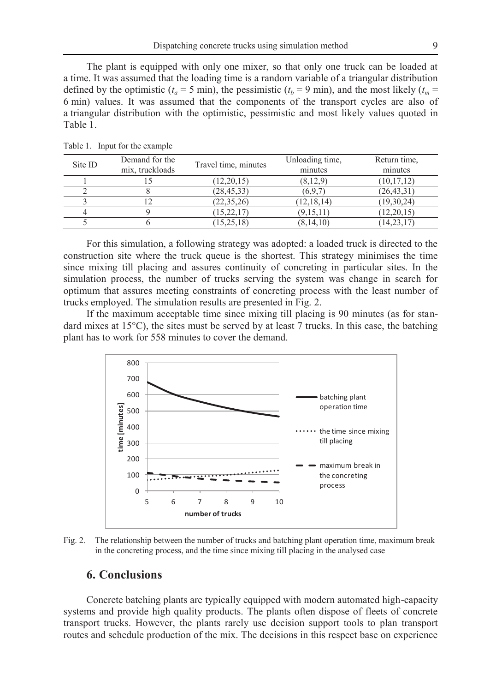The plant is equipped with only one mixer, so that only one truck can be loaded at a time. It was assumed that the loading time is a random variable of a triangular distribution defined by the optimistic ( $t_a = 5$  min), the pessimistic ( $t_b = 9$  min), and the most likely ( $t_m =$ 6 min) values. It was assumed that the components of the transport cycles are also of a triangular distribution with the optimistic, pessimistic and most likely values quoted in Table 1.

| Site ID | Demand for the  | Travel time, minutes | Unloading time, | Return time, |
|---------|-----------------|----------------------|-----------------|--------------|
|         | mix. truckloads |                      | minutes         | minutes      |
|         |                 | (12, 20, 15)         | (8.12.9)        | (10, 17, 12) |
|         |                 | (28, 45, 33)         | (6.9.7)         | (26, 43, 31) |
|         |                 | (22.35.26)           | (12, 18, 14)    | (19, 30, 24) |
|         |                 | (15, 22, 17)         | (9,15,11)       | (12, 20, 15) |
|         |                 | (15, 25, 18)         | (8, 14, 10)     | (14, 23, 17) |

Table 1. Input for the example

For this simulation, a following strategy was adopted: a loaded truck is directed to the construction site where the truck queue is the shortest. This strategy minimises the time since mixing till placing and assures continuity of concreting in particular sites. In the simulation process, the number of trucks serving the system was change in search for optimum that assures meeting constraints of concreting process with the least number of trucks employed. The simulation results are presented in Fig. 2.

If the maximum acceptable time since mixing till placing is 90 minutes (as for standard mixes at  $15^{\circ}$ C), the sites must be served by at least 7 trucks. In this case, the batching plant has to work for 558 minutes to cover the demand.



Fig. 2. The relationship between the number of trucks and batching plant operation time, maximum break in the concreting process, and the time since mixing till placing in the analysed case

### **6. Conclusions**

Concrete batching plants are typically equipped with modern automated high-capacity systems and provide high quality products. The plants often dispose of fleets of concrete transport trucks. However, the plants rarely use decision support tools to plan transport routes and schedule production of the mix. The decisions in this respect base on experience